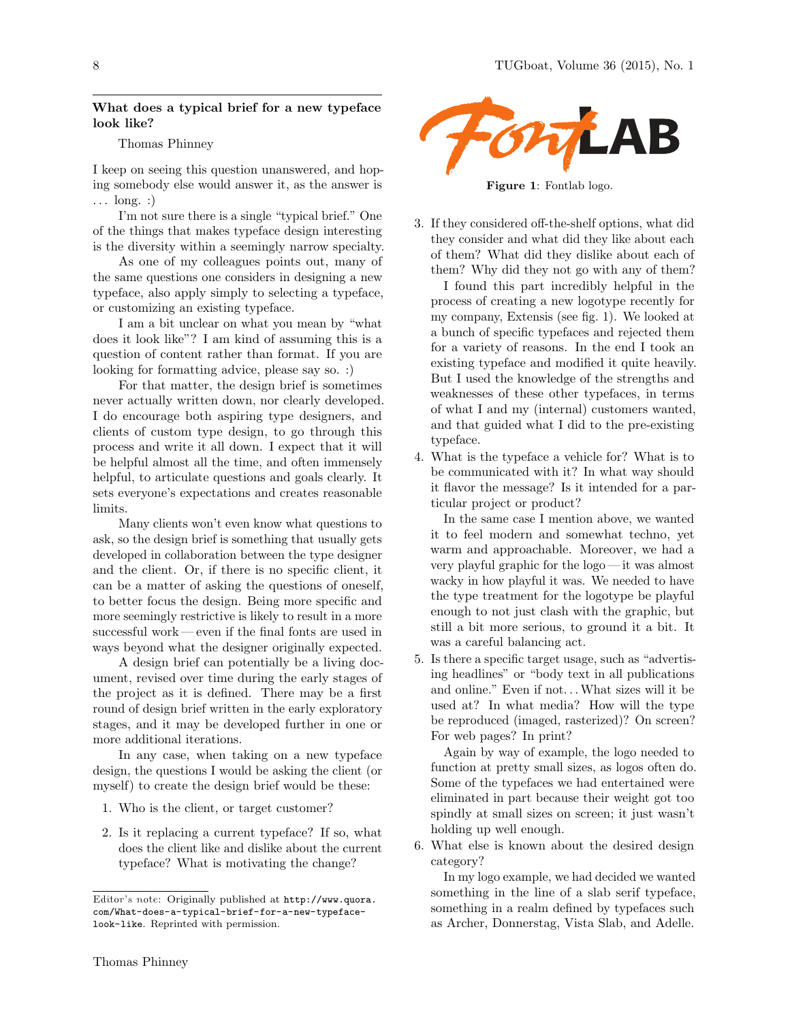## What does a typical brief for a new typeface look like?

## Thomas Phinney

I keep on seeing this question unanswered, and hoping somebody else would answer it, as the answer is  $\ldots$  long. :

I'm not sure there is a single "typical brief." One of the things that makes typeface design interesting is the diversity within a seemingly narrow specialty.

As one of my colleagues points out, many of the same questions one considers in designing a new typeface, also apply simply to selecting a typeface, or customizing an existing typeface.

I am a bit unclear on what you mean by "what does it look like"? I am kind of assuming this is a question of content rather than format. If you are looking for formatting advice, please say so. :)

For that matter, the design brief is sometimes never actually written down, nor clearly developed. I do encourage both aspiring type designers, and clients of custom type design, to go through this process and write it all down. I expect that it will be helpful almost all the time, and often immensely helpful, to articulate questions and goals clearly. It sets everyone's expectations and creates reasonable limits.

Many clients won't even know what questions to ask, so the design brief is something that usually gets developed in collaboration between the type designer and the client. Or, if there is no specific client, it can be a matter of asking the questions of oneself, to better focus the design. Being more specific and more seemingly restrictive is likely to result in a more successful work— even if the final fonts are used in ways beyond what the designer originally expected.

A design brief can potentially be a living document, revised over time during the early stages of the project as it is defined. There may be a first round of design brief written in the early exploratory stages, and it may be developed further in one or more additional iterations.

In any case, when taking on a new typeface design, the questions I would be asking the client (or myself) to create the design brief would be these:

- 1. Who is the client, or target customer?
- 2. Is it replacing a current typeface? If so, what does the client like and dislike about the current typeface? What is motivating the change?



Figure 1: Fontlab logo.

3. If they considered off-the-shelf options, what did they consider and what did they like about each of them? What did they dislike about each of them? Why did they not go with any of them?

I found this part incredibly helpful in the process of creating a new logotype recently for my company, Extensis (see fig. 1). We looked at a bunch of specific typefaces and rejected them for a variety of reasons. In the end I took an existing typeface and modified it quite heavily. But I used the knowledge of the strengths and weaknesses of these other typefaces, in terms of what I and my (internal) customers wanted, and that guided what I did to the pre-existing typeface.

4. What is the typeface a vehicle for? What is to be communicated with it? In what way should it flavor the message? Is it intended for a particular project or product?

In the same case I mention above, we wanted it to feel modern and somewhat techno, yet warm and approachable. Moreover, we had a very playful graphic for the logo — it was almost wacky in how playful it was. We needed to have the type treatment for the logotype be playful enough to not just clash with the graphic, but still a bit more serious, to ground it a bit. It was a careful balancing act.

5. Is there a specific target usage, such as "advertising headlines" or "body text in all publications and online." Even if not... What sizes will it be used at? In what media? How will the type be reproduced (imaged, rasterized)? On screen? For web pages? In print?

Again by way of example, the logo needed to function at pretty small sizes, as logos often do. Some of the typefaces we had entertained were eliminated in part because their weight got too spindly at small sizes on screen; it just wasn't holding up well enough.

6. What else is known about the desired design category?

In my logo example, we had decided we wanted something in the line of a slab serif typeface, something in a realm defined by typefaces such as Archer, Donnerstag, Vista Slab, and Adelle.

Editor's note: Originally published at http://www.quora. com/What-does-a-typical-brief-for-a-new-typefacelook-like. Reprinted with permission.